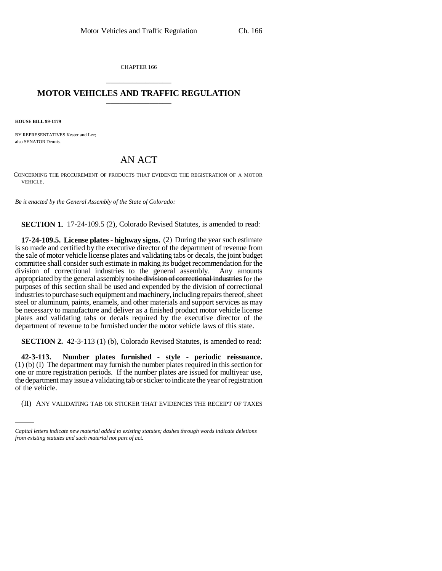CHAPTER 166 \_\_\_\_\_\_\_\_\_\_\_\_\_\_\_

## **MOTOR VEHICLES AND TRAFFIC REGULATION** \_\_\_\_\_\_\_\_\_\_\_\_\_\_\_

**HOUSE BILL 99-1179**

BY REPRESENTATIVES Kester and Lee; also SENATOR Dennis.

## AN ACT

CONCERNING THE PROCUREMENT OF PRODUCTS THAT EVIDENCE THE REGISTRATION OF A MOTOR VEHICLE.

*Be it enacted by the General Assembly of the State of Colorado:*

**SECTION 1.** 17-24-109.5 (2), Colorado Revised Statutes, is amended to read:

**17-24-109.5. License plates - highway signs.** (2) During the year such estimate is so made and certified by the executive director of the department of revenue from the sale of motor vehicle license plates and validating tabs or decals, the joint budget committee shall consider such estimate in making its budget recommendation for the division of correctional industries to the general assembly. Any amounts appropriated by the general assembly to the division of correctional industries for the purposes of this section shall be used and expended by the division of correctional industries to purchase such equipment and machinery, including repairs thereof, sheet steel or aluminum, paints, enamels, and other materials and support services as may be necessary to manufacture and deliver as a finished product motor vehicle license plates and validating tabs or decals required by the executive director of the department of revenue to be furnished under the motor vehicle laws of this state.

**SECTION 2.** 42-3-113 (1) (b), Colorado Revised Statutes, is amended to read:

of the vehicle. **42-3-113. Number plates furnished - style - periodic reissuance.** (1) (b) (I) The department may furnish the number plates required in this section for one or more registration periods. If the number plates are issued for multiyear use, the department may issue a validating tab or sticker to indicate the year of registration

(II) ANY VALIDATING TAB OR STICKER THAT EVIDENCES THE RECEIPT OF TAXES

*Capital letters indicate new material added to existing statutes; dashes through words indicate deletions from existing statutes and such material not part of act.*